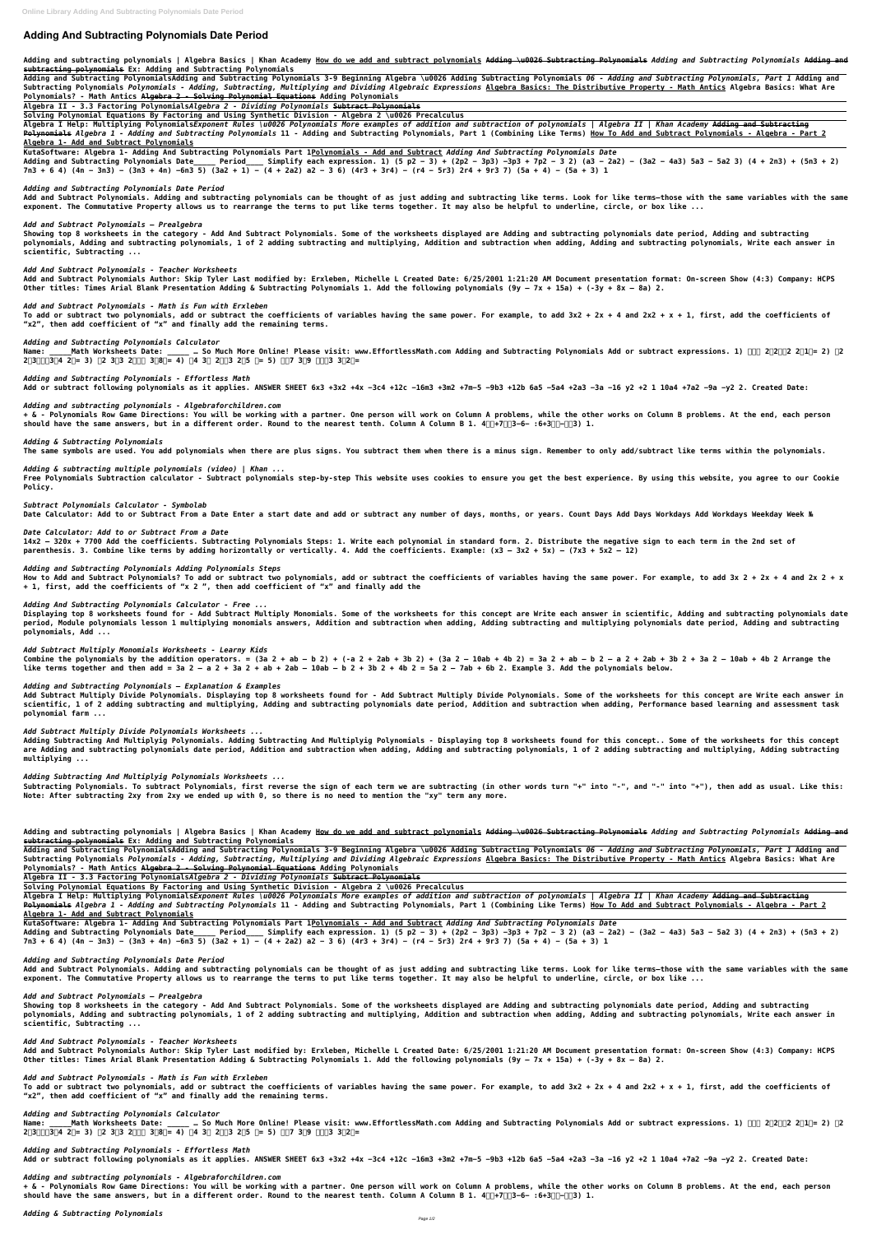# **Adding And Subtracting Polynomials Date Period**

**Adding and subtracting polynomials | Algebra Basics | Khan Academy How do we add and subtract polynomials Adding \u0026 Subtracting Polynomials** *Adding and Subtracting Polynomials* **Adding and subtracting polynomials Ex: Adding and Subtracting Polynomials** 

**Adding and Subtracting PolynomialsAdding and Subtracting Polynomials 3-9 Beginning Algebra \u0026 Adding Subtracting Polynomials** *06 - Adding and Subtracting Polynomials, Part 1* **Adding and Subtracting Polynomials** *Polynomials - Adding, Subtracting, Multiplying and Dividing Algebraic Expressions* **Algebra Basics: The Distributive Property - Math Antics Algebra Basics: What Are Polynomials? - Math Antics Algebra 2 - Solving Polynomial Equations Adding Polynomials**

**Algebra II - 3.3 Factoring Polynomials***Algebra 2 - Dividing Polynomials* **Subtract Polynomials**

**Add and Subtract Polynomials. Adding and subtracting polynomials can be thought of as just adding and subtracting like terms. Look for like terms—those with the same variables with the same** exponent. The Commutative Property allows us to rearrange the terms to put like terms together. It may also be helpful to underline, circle, or box like ...

**Solving Polynomial Equations By Factoring and Using Synthetic Division - Algebra 2 \u0026 Precalculus**

**Algebra I Help: Multiplying Polynomials***Exponent Rules \u0026 Polynomials More examples of addition and subtraction of polynomials | Algebra II | Khan Academy* **Adding and Subtracting Polynomials** *Algebra 1 - Adding and Subtracting Polynomials* **11 - Adding and Subtracting Polynomials, Part 1 (Combining Like Terms) How To Add and Subtract Polynomials - Algebra - Part 2 Algebra 1- Add and Subtract Polynomials**

**KutaSoftware: Algebra 1- Adding And Subtracting Polynomials Part 1Polynomials - Add and Subtract** *Adding And Subtracting Polynomials Date* **Adding and Subtracting Polynomials Date\_\_\_\_\_ Period\_\_\_\_ Simplify each expression. 1) (5 p2 − 3) + (2p2 − 3p3) −3p3 + 7p2 − 3 2) (a3 − 2a2) − (3a2 − 4a3) 5a3 − 5a2 3) (4 + 2n3) + (5n3 + 2) 7n3 + 6 4) (4n − 3n3) − (3n3 + 4n) −6n3 5) (3a2 + 1) − (4 + 2a2) a2 − 3 6) (4r3 + 3r4) − (r4 − 5r3) 2r4 + 9r3 7) (5a + 4) − (5a + 3) 1**

Name: Math Worksheets Date: … So Much More Online! Please visit: www.EffortlessMath.com Adding and Subtracting Polynomials Add or subtract expressions. 1) חחף 2ח2חף 2 2ח1ח= 2) ה **2ൗ3ቍ൘ቌ3൘4 2ቍ= 3) ቌ2 3ൗ3 2ቍ൘ቌ 3ൗ8ቍ= 4) ቌ4 3൘ 2ቍൗ3 2൘5 ቍ= 5) ቌቌ7 3ൗ9 ቍ൘ቌ3 3ൗ2ቍ=**

# *Adding and Subtracting Polynomials Date Period*

**+ & - Polynomials Row Game Directions: You will be working with a partner. One person will work on Column A problems, while the other works on Column B problems. At the end, each person** should have the same answers, but in a different order. Round to the nearest tenth. Column A Column B 1. 4 $\Box$ +7 $\Box$ 3-6- :6+3 $\Box$ - $\Box$ 3) 1.

# *Add and Subtract Polynomials – Prealgebra*

**Showing top 8 worksheets in the category - Add And Subtract Polynomials. Some of the worksheets displayed are Adding and subtracting polynomials date period, Adding and subtracting polynomials, Adding and subtracting polynomials, 1 of 2 adding subtracting and multiplying, Addition and subtraction when adding, Adding and subtracting polynomials, Write each answer in scientific, Subtracting ...**

*Add And Subtract Polynomials - Teacher Worksheets*

**Add and Subtract Polynomials Author: Skip Tyler Last modified by: Erxleben, Michelle L Created Date: 6/25/2001 1:21:20 AM Document presentation format: On-screen Show (4:3) Company: HCPS Other titles: Times Arial Blank Presentation Adding & Subtracting Polynomials 1. Add the following polynomials (9y – 7x + 15a) + (-3y + 8x – 8a) 2.**

# *Add and Subtract Polynomials - Math is Fun with Erxleben*

**To add or subtract two polynomials, add or subtract the coefficients of variables having the same power. For example, to add 3x2 + 2x + 4 and 2x2 + x + 1, first, add the coefficients of "x2", then add coefficient of "x" and finally add the remaining terms.**

Combine the polynomials by the addition operators. =  $(3a 2 + ab - b 2) + (-a 2 + 2ab + 3b 2) + (3a 2 - 10ab + 4b 2) = 3a 2 + ab - b 2 - a 2 + 2ab + 3b 2 + 3a 2 - 10ab + 4b 2$  Arrange the **like terms together and then add = 3a 2 – a 2 + 3a 2 + ab + 2ab – 10ab – b 2 + 3b 2 + 4b 2 = 5a 2 – 7ab + 6b 2. Example 3. Add the polynomials below.**

*Adding and Subtracting Polynomials Calculator*

*Adding and Subtracting Polynomials - Effortless Math* **Add or subtract following polynomials as it applies. ANSWER SHEET 6x3 +3x2 +4x −3c4 +12c −16m3 +3m2 +7m−5 −9b3 +12b 6a5 −5a4 +2a3 −3a −16 y2 +2 1 10a4 +7a2 −9a −y2 2. Created Date:**

# *Adding and subtracting polynomials - Algebraforchildren.com*

# *Adding & Subtracting Polynomials*

**The same symbols are used. You add polynomials when there are plus signs. You subtract them when there is a minus sign. Remember to only add/subtract like terms within the polynomials.**

*Adding & subtracting multiple polynomials (video) | Khan ...*

**Free Polynomials Subtraction calculator - Subtract polynomials step-by-step This website uses cookies to ensure you get the best experience. By using this website, you agree to our Cookie Policy.**

**Add and Subtract Polynomials. Adding and subtracting polynomials can be thought of as just adding and subtracting like terms. Look for like terms—those with the same variables with the same** exponent. The Commutative Property allows us to rearrange the terms to put like terms together. It may also be helpful to underline, circle, or box like ...

*Subtract Polynomials Calculator - Symbolab* **Date Calculator: Add to or Subtract From a Date Enter a start date and add or subtract any number of days, months, or years. Count Days Add Days Workdays Add Workdays Weekday Week №**

# *Date Calculator: Add to or Subtract From a Date*

**14x2 – 320x + 7700 Add the coefficients. Subtracting Polynomials Steps: 1. Write each polynomial in standard form. 2. Distribute the negative sign to each term in the 2nd set of parenthesis. 3. Combine like terms by adding horizontally or vertically. 4. Add the coefficients. Example: (x3 – 3x2 + 5x) – (7x3 + 5x2 – 12)**

### *Adding and Subtracting Polynomials Adding Polynomials Steps*

**How to Add and Subtract Polynomials? To add or subtract two polynomials, add or subtract the coefficients of variables having the same power. For example, to add 3x 2 + 2x + 4 and 2x 2 + x + 1, first, add the coefficients of "x 2 ", then add coefficient of "x" and finally add the**

Name: Math Worksheets Date: … So Much More Online! Please visit: www.EffortlessMath.com Adding and Subtracting Polynomials Add or subtract expressions. 1) חחף 2ח2חף 2) חם 2 **2ൗ3ቍ൘ቌ3൘4 2ቍ= 3) ቌ2 3ൗ3 2ቍ൘ቌ 3ൗ8ቍ= 4) ቌ4 3൘ 2ቍൗ3 2൘5 ቍ= 5) ቌቌ7 3ൗ9 ቍ൘ቌ3 3ൗ2ቍ=**

# *Adding And Subtracting Polynomials Calculator - Free ...*

**+ & - Polynomials Row Game Directions: You will be working with a partner. One person will work on Column A problems, while the other works on Column B problems. At the end, each person** should have the same answers, but in a different order. Round to the nearest tenth. Column A Column B 1. 4 $\Box\Box + 7\Box\Box^2 - 6 - 6.643\Box\Box - \Box\Box$ 3) 1.

**Displaying top 8 worksheets found for - Add Subtract Multiply Monomials. Some of the worksheets for this concept are Write each answer in scientific, Adding and subtracting polynomials date period, Module polynomials lesson 1 multiplying monomials answers, Addition and subtraction when adding, Adding subtracting and multiplying polynomials date period, Adding and subtracting polynomials, Add ...**

#### *Add Subtract Multiply Monomials Worksheets - Learny Kids*

# *Adding and Subtracting Polynomials – Explanation & Examples*

**Add Subtract Multiply Divide Polynomials. Displaying top 8 worksheets found for - Add Subtract Multiply Divide Polynomials. Some of the worksheets for this concept are Write each answer in scientific, 1 of 2 adding subtracting and multiplying, Adding and subtracting polynomials date period, Addition and subtraction when adding, Performance based learning and assessment task polynomial farm ...**

# *Add Subtract Multiply Divide Polynomials Worksheets ...*

**Adding Subtracting And Multiplyig Polynomials. Adding Subtracting And Multiplyig Polynomials - Displaying top 8 worksheets found for this concept.. Some of the worksheets for this concept are Adding and subtracting polynomials date period, Addition and subtraction when adding, Adding and subtracting polynomials, 1 of 2 adding subtracting and multiplying, Adding subtracting multiplying ...**

# *Adding Subtracting And Multiplyig Polynomials Worksheets ...*

**Subtracting Polynomials. To subtract Polynomials, first reverse the sign of each term we are subtracting (in other words turn "+" into "-", and "-" into "+"), then add as usual. Like this: Note: After subtracting 2xy from 2xy we ended up with 0, so there is no need to mention the "xy" term any more.**

**Adding and subtracting polynomials | Algebra Basics | Khan Academy How do we add and subtract polynomials Adding \u0026 Subtracting Polynomials** *Adding and Subtracting Polynomials* **Adding and subtracting polynomials Ex: Adding and Subtracting Polynomials** 

**Adding and Subtracting PolynomialsAdding and Subtracting Polynomials 3-9 Beginning Algebra \u0026 Adding Subtracting Polynomials** *06 - Adding and Subtracting Polynomials, Part 1* **Adding and Subtracting Polynomials** *Polynomials - Adding, Subtracting, Multiplying and Dividing Algebraic Expressions* **Algebra Basics: The Distributive Property - Math Antics Algebra Basics: What Are Polynomials? - Math Antics Algebra 2 - Solving Polynomial Equations Adding Polynomials**

**Algebra II - 3.3 Factoring Polynomials***Algebra 2 - Dividing Polynomials* **Subtract Polynomials**

**Solving Polynomial Equations By Factoring and Using Synthetic Division - Algebra 2 \u0026 Precalculus**

**Algebra I Help: Multiplying Polynomials***Exponent Rules \u0026 Polynomials More examples of addition and subtraction of polynomials | Algebra II | Khan Academy* **Adding and Subtracting Polynomials** *Algebra 1 - Adding and Subtracting Polynomials* **11 - Adding and Subtracting Polynomials, Part 1 (Combining Like Terms) How To Add and Subtract Polynomials - Algebra - Part 2 Algebra 1- Add and Subtract Polynomials**

**KutaSoftware: Algebra 1- Adding And Subtracting Polynomials Part 1Polynomials - Add and Subtract** *Adding And Subtracting Polynomials Date*

**Adding and Subtracting Polynomials Date\_\_\_\_\_ Period\_\_\_\_ Simplify each expression. 1) (5 p2 − 3) + (2p2 − 3p3) −3p3 + 7p2 − 3 2) (a3 − 2a2) − (3a2 − 4a3) 5a3 − 5a2 3) (4 + 2n3) + (5n3 + 2) 7n3 + 6 4) (4n − 3n3) − (3n3 + 4n) −6n3 5) (3a2 + 1) − (4 + 2a2) a2 − 3 6) (4r3 + 3r4) − (r4 − 5r3) 2r4 + 9r3 7) (5a + 4) − (5a + 3) 1**

#### *Adding and Subtracting Polynomials Date Period*

#### *Add and Subtract Polynomials – Prealgebra*

**Showing top 8 worksheets in the category - Add And Subtract Polynomials. Some of the worksheets displayed are Adding and subtracting polynomials date period, Adding and subtracting polynomials, Adding and subtracting polynomials, 1 of 2 adding subtracting and multiplying, Addition and subtraction when adding, Adding and subtracting polynomials, Write each answer in scientific, Subtracting ...**

#### *Add And Subtract Polynomials - Teacher Worksheets*

**Add and Subtract Polynomials Author: Skip Tyler Last modified by: Erxleben, Michelle L Created Date: 6/25/2001 1:21:20 AM Document presentation format: On-screen Show (4:3) Company: HCPS Other titles: Times Arial Blank Presentation Adding & Subtracting Polynomials 1. Add the following polynomials (9y – 7x + 15a) + (-3y + 8x – 8a) 2.**

#### *Add and Subtract Polynomials - Math is Fun with Erxleben*

**To add or subtract two polynomials, add or subtract the coefficients of variables having the same power. For example, to add 3x2 + 2x + 4 and 2x2 + x + 1, first, add the coefficients of "x2", then add coefficient of "x" and finally add the remaining terms.**

### *Adding and Subtracting Polynomials Calculator*

#### *Adding and Subtracting Polynomials - Effortless Math*

**Add or subtract following polynomials as it applies. ANSWER SHEET 6x3 +3x2 +4x −3c4 +12c −16m3 +3m2 +7m−5 −9b3 +12b 6a5 −5a4 +2a3 −3a −16 y2 +2 1 10a4 +7a2 −9a −y2 2. Created Date:**

#### *Adding and subtracting polynomials - Algebraforchildren.com*

### *Adding & Subtracting Polynomials*